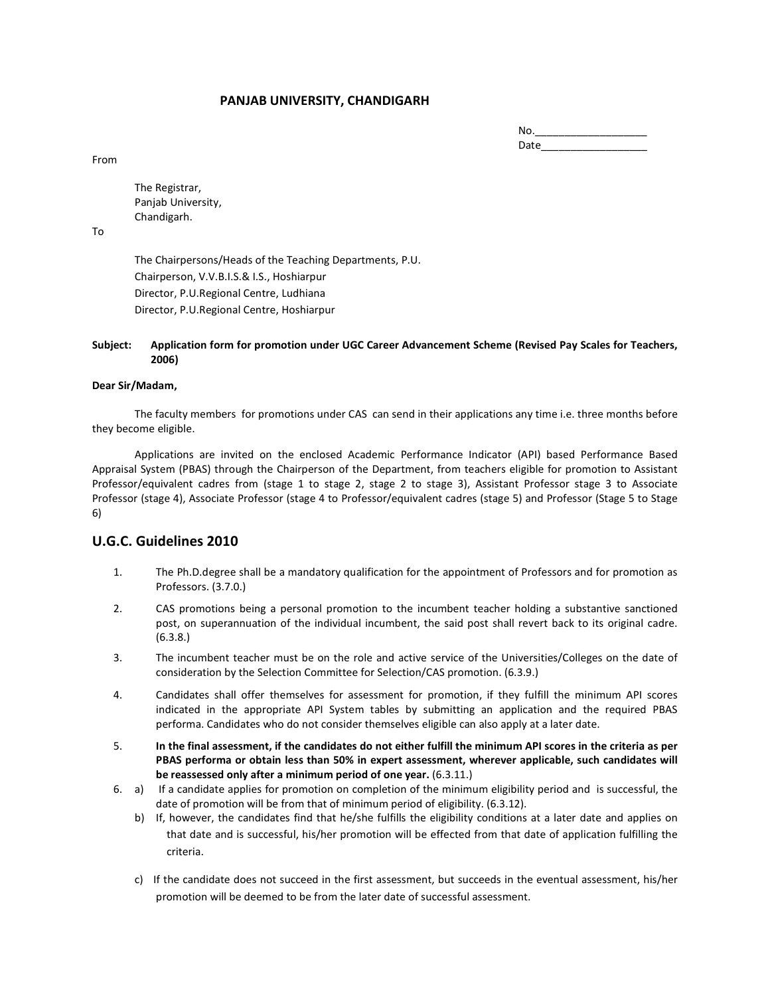#### PANJAB UNIVERSITY, CHANDIGARH

 $N$ o. $\_\_$ Date\_\_\_\_\_\_\_\_\_\_\_\_\_\_\_\_\_\_

From

 The Registrar, Panjab University, Chandigarh.

To

 The Chairpersons/Heads of the Teaching Departments, P.U. Chairperson, V.V.B.I.S.& I.S., Hoshiarpur Director, P.U.Regional Centre, Ludhiana Director, P.U.Regional Centre, Hoshiarpur

#### Subject: Application form for promotion under UGC Career Advancement Scheme (Revised Pay Scales for Teachers, 2006)

#### Dear Sir/Madam,

The faculty members for promotions under CAS can send in their applications any time i.e. three months before they become eligible.

Applications are invited on the enclosed Academic Performance Indicator (API) based Performance Based Appraisal System (PBAS) through the Chairperson of the Department, from teachers eligible for promotion to Assistant Professor/equivalent cadres from (stage 1 to stage 2, stage 2 to stage 3), Assistant Professor stage 3 to Associate Professor (stage 4), Associate Professor (stage 4 to Professor/equivalent cadres (stage 5) and Professor (Stage 5 to Stage 6)

#### U.G.C. Guidelines 2010

- 1. The Ph.D.degree shall be a mandatory qualification for the appointment of Professors and for promotion as Professors. (3.7.0.)
- 2. CAS promotions being a personal promotion to the incumbent teacher holding a substantive sanctioned post, on superannuation of the individual incumbent, the said post shall revert back to its original cadre. (6.3.8.)
- 3. The incumbent teacher must be on the role and active service of the Universities/Colleges on the date of consideration by the Selection Committee for Selection/CAS promotion. (6.3.9.)
- 4. Candidates shall offer themselves for assessment for promotion, if they fulfill the minimum API scores indicated in the appropriate API System tables by submitting an application and the required PBAS performa. Candidates who do not consider themselves eligible can also apply at a later date.
- 5. In the final assessment, if the candidates do not either fulfill the minimum API scores in the criteria as per PBAS performa or obtain less than 50% in expert assessment, wherever applicable, such candidates will be reassessed only after a minimum period of one year. (6.3.11.)
- 6. a) If a candidate applies for promotion on completion of the minimum eligibility period and is successful, the date of promotion will be from that of minimum period of eligibility. (6.3.12).
	- b) If, however, the candidates find that he/she fulfills the eligibility conditions at a later date and applies on that date and is successful, his/her promotion will be effected from that date of application fulfilling the criteria.
	- c) If the candidate does not succeed in the first assessment, but succeeds in the eventual assessment, his/her promotion will be deemed to be from the later date of successful assessment.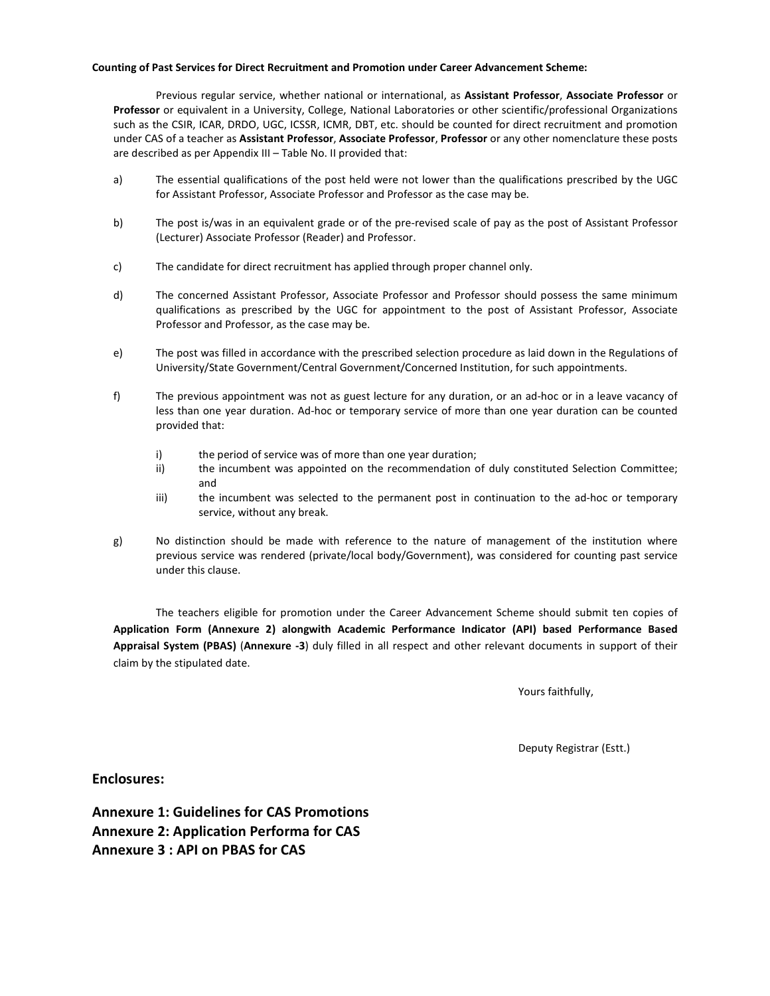#### Counting of Past Services for Direct Recruitment and Promotion under Career Advancement Scheme:

Previous regular service, whether national or international, as Assistant Professor, Associate Professor or Professor or equivalent in a University, College, National Laboratories or other scientific/professional Organizations such as the CSIR, ICAR, DRDO, UGC, ICSSR, ICMR, DBT, etc. should be counted for direct recruitment and promotion under CAS of a teacher as Assistant Professor, Associate Professor, Professor or any other nomenclature these posts are described as per Appendix III – Table No. II provided that:

- a) The essential qualifications of the post held were not lower than the qualifications prescribed by the UGC for Assistant Professor, Associate Professor and Professor as the case may be.
- b) The post is/was in an equivalent grade or of the pre-revised scale of pay as the post of Assistant Professor (Lecturer) Associate Professor (Reader) and Professor.
- c) The candidate for direct recruitment has applied through proper channel only.
- d) The concerned Assistant Professor, Associate Professor and Professor should possess the same minimum qualifications as prescribed by the UGC for appointment to the post of Assistant Professor, Associate Professor and Professor, as the case may be.
- e) The post was filled in accordance with the prescribed selection procedure as laid down in the Regulations of University/State Government/Central Government/Concerned Institution, for such appointments.
- f) The previous appointment was not as guest lecture for any duration, or an ad-hoc or in a leave vacancy of less than one year duration. Ad-hoc or temporary service of more than one year duration can be counted provided that:
	- i) the period of service was of more than one year duration;
	- ii) the incumbent was appointed on the recommendation of duly constituted Selection Committee; and
	- iii) the incumbent was selected to the permanent post in continuation to the ad-hoc or temporary service, without any break.
- g) No distinction should be made with reference to the nature of management of the institution where previous service was rendered (private/local body/Government), was considered for counting past service under this clause.

The teachers eligible for promotion under the Career Advancement Scheme should submit ten copies of Application Form (Annexure 2) alongwith Academic Performance Indicator (API) based Performance Based Appraisal System (PBAS) (Annexure -3) duly filled in all respect and other relevant documents in support of their claim by the stipulated date.

Yours faithfully,

Deputy Registrar (Estt.)

Enclosures:

Annexure 1: Guidelines for CAS Promotions Annexure 2: Application Performa for CAS Annexure 3 : API on PBAS for CAS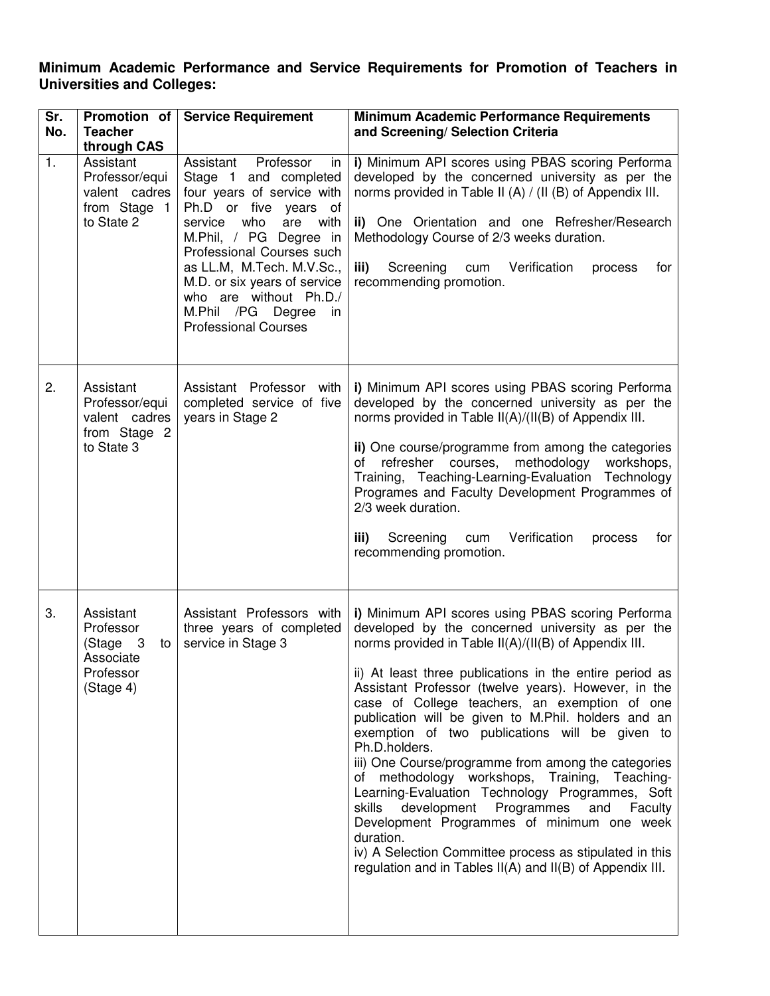**Minimum Academic Performance and Service Requirements for Promotion of Teachers in Universities and Colleges:** 

| Sr.<br>No. | Promotion of<br><b>Teacher</b><br>through CAS                                        | <b>Service Requirement</b>                                                                                                                                                                                                                                                                                                                            | <b>Minimum Academic Performance Requirements</b><br>and Screening/ Selection Criteria                                                                                                                                                                                                                                                                                                                                                                                                                                                                                                                                                                                                                                                                                                                                                                           |
|------------|--------------------------------------------------------------------------------------|-------------------------------------------------------------------------------------------------------------------------------------------------------------------------------------------------------------------------------------------------------------------------------------------------------------------------------------------------------|-----------------------------------------------------------------------------------------------------------------------------------------------------------------------------------------------------------------------------------------------------------------------------------------------------------------------------------------------------------------------------------------------------------------------------------------------------------------------------------------------------------------------------------------------------------------------------------------------------------------------------------------------------------------------------------------------------------------------------------------------------------------------------------------------------------------------------------------------------------------|
| 1.         | Assistant<br>Professor/equi<br>valent cadres<br>from Stage 1<br>to State 2           | Assistant<br>Professor<br>in<br>Stage 1 and completed<br>four years of service with<br>Ph.D or five years of<br>who<br>are<br>with<br>service<br>M.Phil, / PG Degree in<br>Professional Courses such<br>as LL.M, M.Tech. M.V.Sc.,<br>M.D. or six years of service<br>who are without Ph.D./<br>M.Phil /PG Degree<br>in<br><b>Professional Courses</b> | i) Minimum API scores using PBAS scoring Performa<br>developed by the concerned university as per the<br>norms provided in Table II (A) / (II (B) of Appendix III.<br>ii) One Orientation and one Refresher/Research<br>Methodology Course of 2/3 weeks duration.<br>iii)<br>Screening<br>cum Verification<br>for<br>process<br>recommending promotion.                                                                                                                                                                                                                                                                                                                                                                                                                                                                                                         |
| 2.         | Assistant<br>Professor/equi<br>valent cadres<br>from Stage 2<br>to State 3           | Assistant Professor with<br>completed service of five<br>years in Stage 2                                                                                                                                                                                                                                                                             | i) Minimum API scores using PBAS scoring Performa<br>developed by the concerned university as per the<br>norms provided in Table II(A)/(II(B) of Appendix III.<br>ii) One course/programme from among the categories<br>of refresher courses,<br>methodology<br>workshops,<br>Training, Teaching-Learning-Evaluation Technology<br>Programes and Faculty Development Programmes of<br>2/3 week duration.<br>cum Verification<br>iii)<br>Screening<br>for<br>process<br>recommending promotion.                                                                                                                                                                                                                                                                                                                                                                  |
| 3.         | Assistant<br>Professor<br>(Stage<br>- 3<br>to<br>Associate<br>Professor<br>(Stage 4) | Assistant Professors with<br>three years of completed<br>service in Stage 3                                                                                                                                                                                                                                                                           | i) Minimum API scores using PBAS scoring Performa<br>developed by the concerned university as per the<br>norms provided in Table II(A)/(II(B) of Appendix III.<br>ii) At least three publications in the entire period as<br>Assistant Professor (twelve years). However, in the<br>case of College teachers, an exemption of one<br>publication will be given to M.Phil. holders and an<br>exemption of two publications will be given to<br>Ph.D.holders.<br>iii) One Course/programme from among the categories<br>of methodology workshops, Training, Teaching-<br>Learning-Evaluation Technology Programmes, Soft<br>development Programmes<br>and<br>skills<br>Faculty<br>Development Programmes of minimum one week<br>duration.<br>iv) A Selection Committee process as stipulated in this<br>regulation and in Tables II(A) and II(B) of Appendix III. |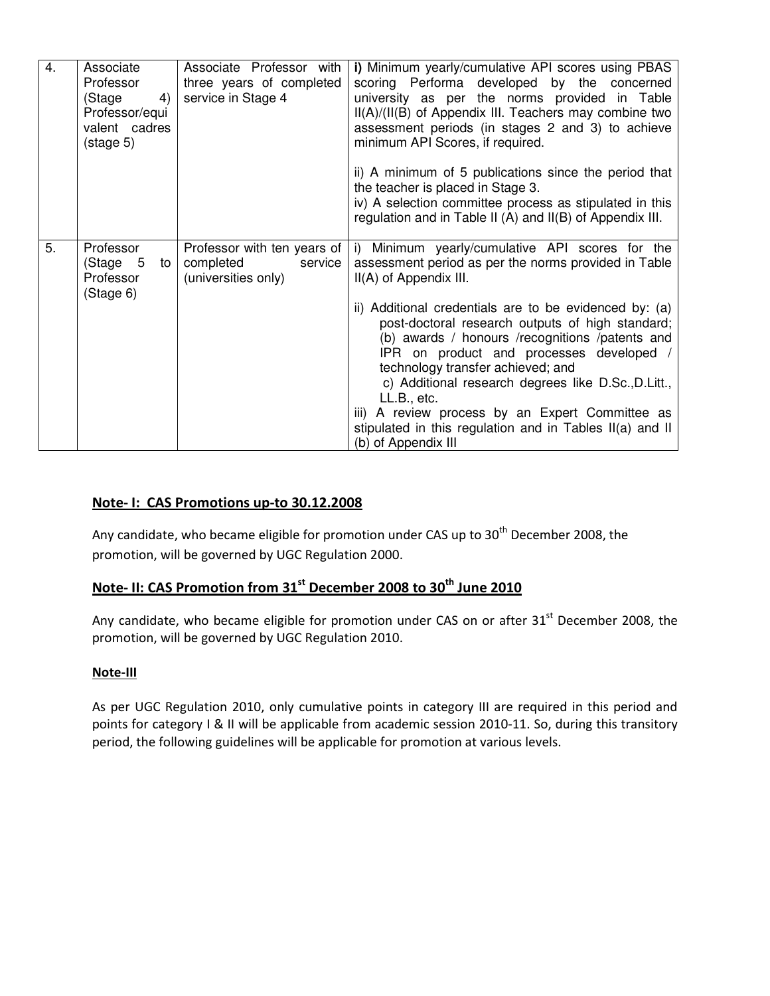| 4. | Associate<br>Professor<br>4)<br>(Stage<br>Professor/equi<br>valent cadres<br>$(\text{stage } 5)$ | Associate Professor with<br>three years of completed<br>service in Stage 4 | i) Minimum yearly/cumulative API scores using PBAS<br>scoring Performa developed by the concerned<br>university as per the norms provided in Table<br>$II(A)/(II(B))$ of Appendix III. Teachers may combine two<br>assessment periods (in stages 2 and 3) to achieve<br>minimum API Scores, if required.<br>ii) A minimum of 5 publications since the period that<br>the teacher is placed in Stage 3.<br>iv) A selection committee process as stipulated in this<br>regulation and in Table II (A) and II(B) of Appendix III.                                                                     |
|----|--------------------------------------------------------------------------------------------------|----------------------------------------------------------------------------|----------------------------------------------------------------------------------------------------------------------------------------------------------------------------------------------------------------------------------------------------------------------------------------------------------------------------------------------------------------------------------------------------------------------------------------------------------------------------------------------------------------------------------------------------------------------------------------------------|
| 5. | Professor<br>(Stage 5<br>to<br>Professor<br>(Stage 6)                                            | Professor with ten years of<br>completed<br>service<br>(universities only) | Minimum yearly/cumulative API scores for the<br>i)<br>assessment period as per the norms provided in Table<br>II(A) of Appendix III.<br>ii) Additional credentials are to be evidenced by: (a)<br>post-doctoral research outputs of high standard;<br>(b) awards / honours / recognitions / patents and<br>IPR on product and processes developed<br>technology transfer achieved; and<br>c) Additional research degrees like D.Sc., D.Litt.,<br>LL.B., etc.<br>iii) A review process by an Expert Committee as<br>stipulated in this regulation and in Tables II(a) and II<br>(b) of Appendix III |

### Note- I: CAS Promotions up-to 30.12.2008

Any candidate, who became eligible for promotion under CAS up to 30<sup>th</sup> December 2008, the promotion, will be governed by UGC Regulation 2000.

## Note- II: CAS Promotion from 31<sup>st</sup> December 2008 to 30<sup>th</sup> June 2010

Any candidate, who became eligible for promotion under CAS on or after  $31<sup>st</sup>$  December 2008, the promotion, will be governed by UGC Regulation 2010.

### Note-III

As per UGC Regulation 2010, only cumulative points in category III are required in this period and points for category I & II will be applicable from academic session 2010-11. So, during this transitory period, the following guidelines will be applicable for promotion at various levels.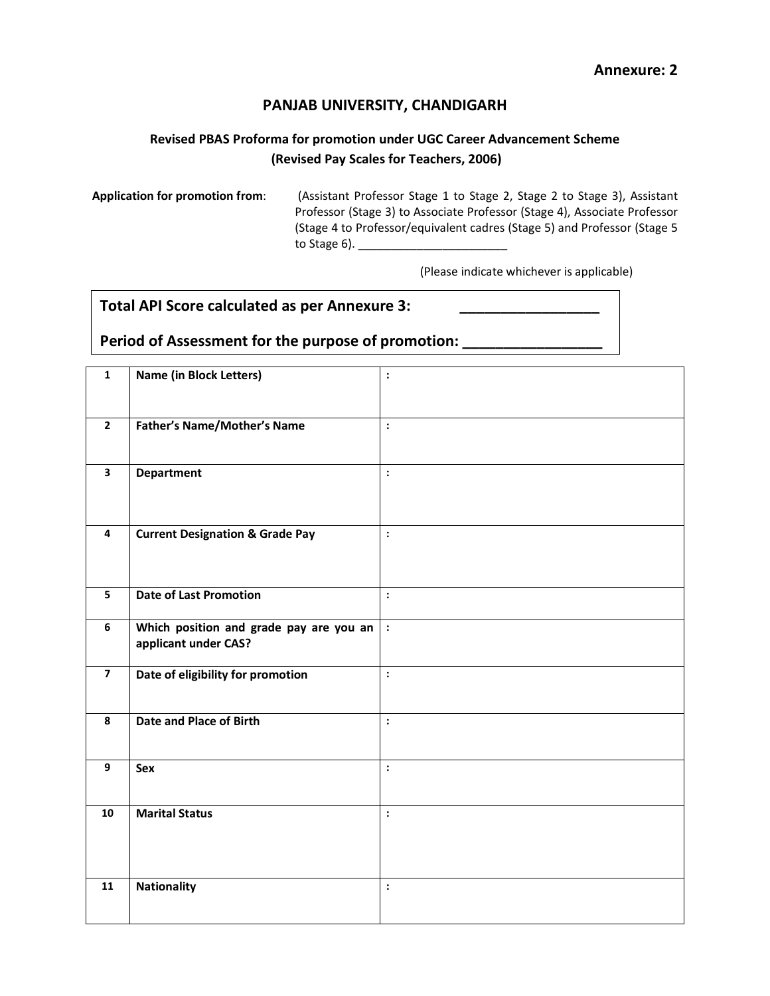### PANJAB UNIVERSITY, CHANDIGARH

## Revised PBAS Proforma for promotion under UGC Career Advancement Scheme (Revised Pay Scales for Teachers, 2006)

Application for promotion from: (Assistant Professor Stage 1 to Stage 2, Stage 2 to Stage 3), Assistant Professor (Stage 3) to Associate Professor (Stage 4), Associate Professor (Stage 4 to Professor/equivalent cadres (Stage 5) and Professor (Stage 5 to Stage 6).

(Please indicate whichever is applicable)

## Total API Score calculated as per Annexure 3:

## Period of Assessment for the purpose of promotion: \_\_\_\_\_\_\_\_\_\_\_\_\_\_\_\_\_\_\_\_\_\_\_

| $\mathbf 1$             | <b>Name (in Block Letters)</b>                                  | $\ddot{\cdot}$ |
|-------------------------|-----------------------------------------------------------------|----------------|
| $\overline{2}$          | Father's Name/Mother's Name                                     | $\ddot{\cdot}$ |
| $\overline{\mathbf{3}}$ | <b>Department</b>                                               | $\ddot{\cdot}$ |
| $\overline{4}$          | <b>Current Designation &amp; Grade Pay</b>                      | $\colon$       |
| 5                       | <b>Date of Last Promotion</b>                                   | $\colon$       |
| 6                       | Which position and grade pay are you an<br>applicant under CAS? | $\mathbf{E}$   |
| $\overline{\mathbf{z}}$ | Date of eligibility for promotion                               | $\colon$       |
| 8                       | Date and Place of Birth                                         | $\ddot{\cdot}$ |
| 9                       | Sex                                                             | $\ddot{\cdot}$ |
| 10                      | <b>Marital Status</b>                                           | $\ddot{\cdot}$ |
| 11                      | <b>Nationality</b>                                              | $\ddot{\cdot}$ |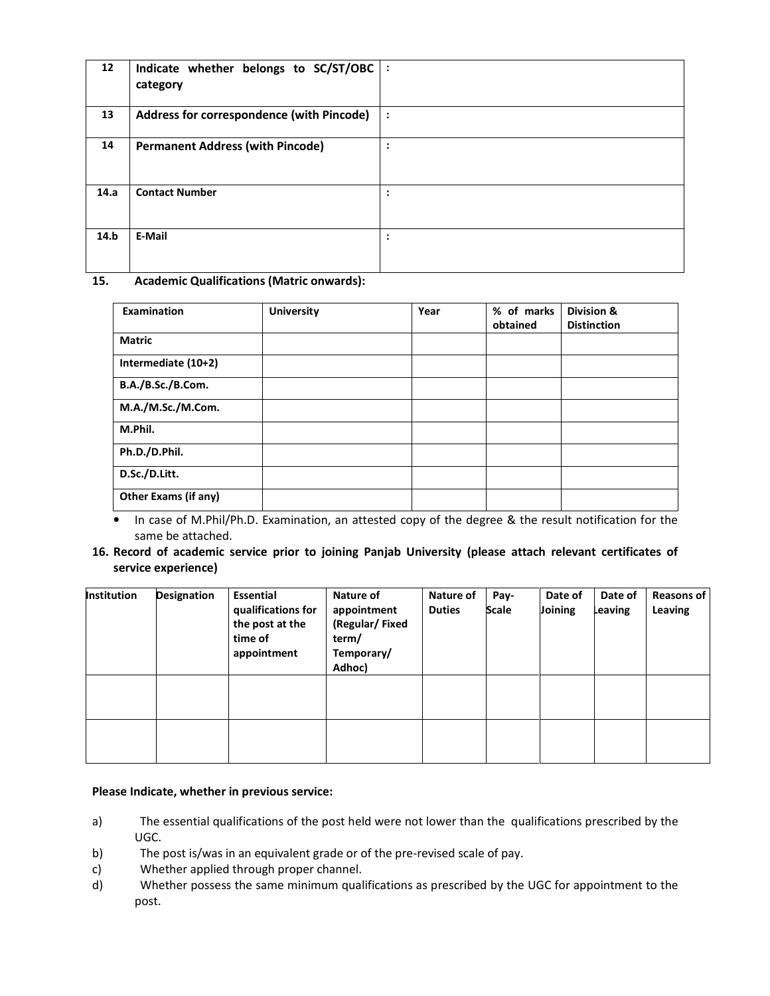| $12 \overline{ }$ | Indicate whether belongs to SC/ST/OBC   :<br>category |                      |
|-------------------|-------------------------------------------------------|----------------------|
| 13                | Address for correspondence (with Pincode)             | $\ddot{\phantom{a}}$ |
| 14                | <b>Permanent Address (with Pincode)</b>               | ٠                    |
| 14.a              | <b>Contact Number</b>                                 | $\bullet$            |
| 14.b              | E-Mail                                                | $\cdot$              |

#### 15. Academic Qualifications (Matric onwards):

| <b>Examination</b>          | <b>University</b> | Year | % of marks<br>obtained | <b>Division &amp;</b><br><b>Distinction</b> |
|-----------------------------|-------------------|------|------------------------|---------------------------------------------|
| <b>Matric</b>               |                   |      |                        |                                             |
| Intermediate (10+2)         |                   |      |                        |                                             |
| B.A./B.Sc./B.Com.           |                   |      |                        |                                             |
| M.A./M.Sc./M.Com.           |                   |      |                        |                                             |
| M.Phil.                     |                   |      |                        |                                             |
| Ph.D./D.Phil.               |                   |      |                        |                                             |
| D.Sc./D.Litt.               |                   |      |                        |                                             |
| <b>Other Exams (if any)</b> |                   |      |                        |                                             |

• In case of M.Phil/Ph.D. Examination, an attested copy of the degree & the result notification for the same be attached.

#### 16. Record of academic service prior to joining Panjab University (please attach relevant certificates of service experience)

| Institution | <b>Designation</b> | Essential<br>qualifications for<br>the post at the<br>time of<br>appointment | Nature of<br>appointment<br>(Regular/Fixed<br>term/<br>Temporary/<br>Adhoc) | Nature of<br><b>Duties</b> | Pay-<br>Scale | Date of<br>Joining | Date of<br>Leaving | <b>Reasons of</b><br>Leaving |
|-------------|--------------------|------------------------------------------------------------------------------|-----------------------------------------------------------------------------|----------------------------|---------------|--------------------|--------------------|------------------------------|
|             |                    |                                                                              |                                                                             |                            |               |                    |                    |                              |
|             |                    |                                                                              |                                                                             |                            |               |                    |                    |                              |

#### Please Indicate, whether in previous service:

- a) The essential qualifications of the post held were not lower than the qualifications prescribed by the UGC.
- b) The post is/was in an equivalent grade or of the pre-revised scale of pay.
- c) Whether applied through proper channel.
- d) Whether possess the same minimum qualifications as prescribed by the UGC for appointment to the post.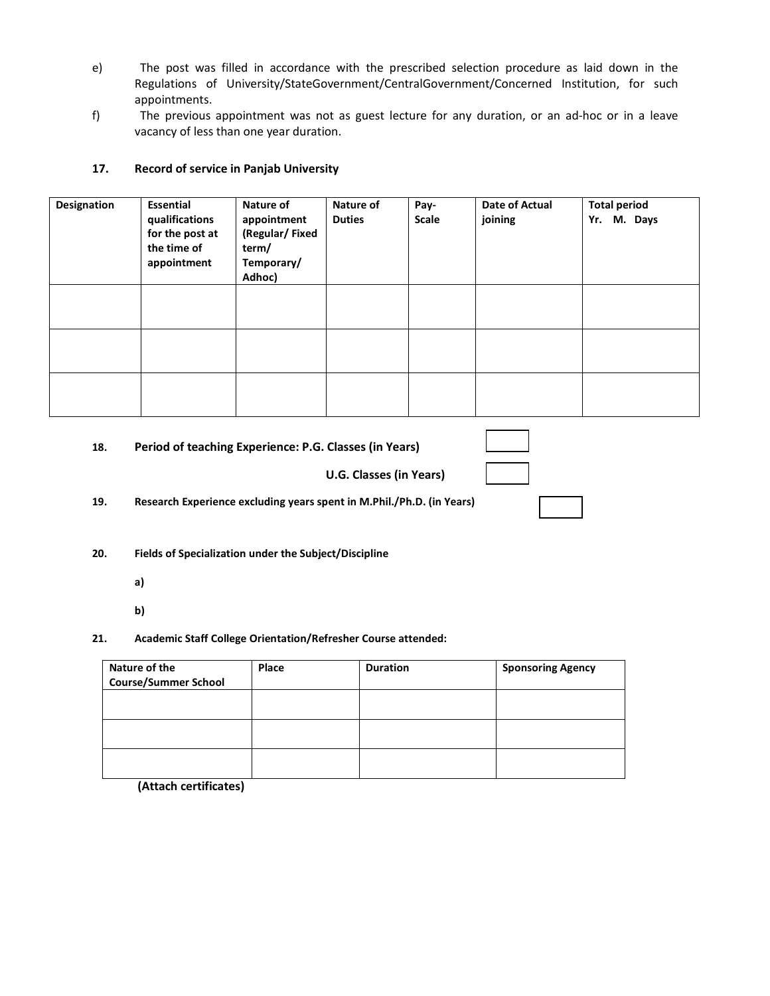- e) The post was filled in accordance with the prescribed selection procedure as laid down in the Regulations of University/StateGovernment/CentralGovernment/Concerned Institution, for such appointments.
- f) The previous appointment was not as guest lecture for any duration, or an ad-hoc or in a leave vacancy of less than one year duration.

#### 17. Record of service in Panjab University

| Designation | Essential<br>qualifications<br>for the post at<br>the time of<br>appointment | Nature of<br>appointment<br>(Regular/Fixed<br>term/<br>Temporary/<br>Adhoc) | Nature of<br><b>Duties</b> | Pay-<br><b>Scale</b> | Date of Actual<br>joining | <b>Total period</b><br>Yr. M. Days |
|-------------|------------------------------------------------------------------------------|-----------------------------------------------------------------------------|----------------------------|----------------------|---------------------------|------------------------------------|
|             |                                                                              |                                                                             |                            |                      |                           |                                    |
|             |                                                                              |                                                                             |                            |                      |                           |                                    |
|             |                                                                              |                                                                             |                            |                      |                           |                                    |

 $\Box$ 

h

| 18. | Period of teaching Experience: P.G. Classes (in Years)                |  |
|-----|-----------------------------------------------------------------------|--|
|     | <b>U.G. Classes (in Years)</b>                                        |  |
| 19. | Research Experience excluding years spent in M.Phil./Ph.D. (in Years) |  |

20. Fields of Specialization under the Subject/Discipline

- a)
- b)

#### 21. Academic Staff College Orientation/Refresher Course attended:

| Nature of the<br><b>Course/Summer School</b> | Place | <b>Duration</b> | <b>Sponsoring Agency</b> |
|----------------------------------------------|-------|-----------------|--------------------------|
|                                              |       |                 |                          |
|                                              |       |                 |                          |
|                                              |       |                 |                          |

(Attach certificates)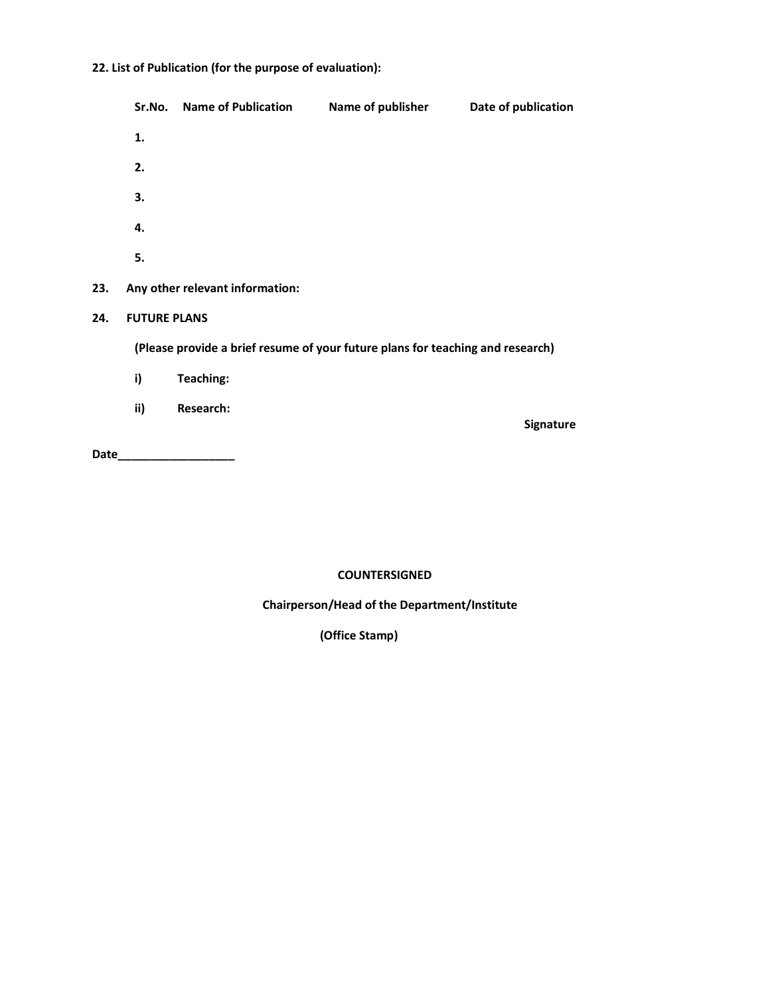## 22. List of Publication (for the purpose of evaluation):

|      | Sr.No.              | <b>Name of Publication</b>                                                     | <b>Name of publisher</b> | Date of publication |
|------|---------------------|--------------------------------------------------------------------------------|--------------------------|---------------------|
|      | 1.                  |                                                                                |                          |                     |
|      | 2.                  |                                                                                |                          |                     |
|      | 3.                  |                                                                                |                          |                     |
|      | 4.                  |                                                                                |                          |                     |
|      | 5.                  |                                                                                |                          |                     |
| 23.  |                     | Any other relevant information:                                                |                          |                     |
| 24.  | <b>FUTURE PLANS</b> |                                                                                |                          |                     |
|      |                     | (Please provide a brief resume of your future plans for teaching and research) |                          |                     |
|      | i)                  | Teaching:                                                                      |                          |                     |
|      | ii)                 | <b>Research:</b>                                                               |                          | Signature           |
|      |                     |                                                                                |                          |                     |
| Date |                     |                                                                                |                          |                     |

### COUNTERSIGNED

Chairperson/Head of the Department/Institute

(Office Stamp)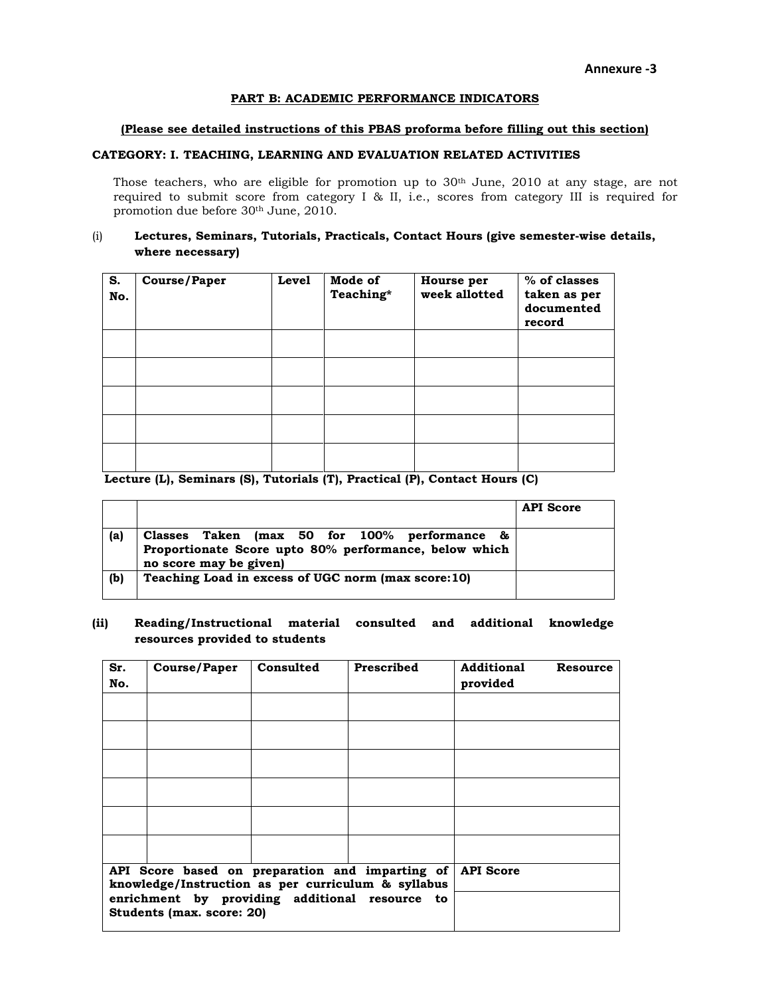#### PART B: ACADEMIC PERFORMANCE INDICATORS

#### (Please see detailed instructions of this PBAS proforma before filling out this section)

### CATEGORY: I. TEACHING, LEARNING AND EVALUATION RELATED ACTIVITIES

Those teachers, who are eligible for promotion up to  $30<sup>th</sup>$  June, 2010 at any stage, are not required to submit score from category I & II, i.e., scores from category III is required for promotion due before 30<sup>th</sup> June, 2010.

#### (i) Lectures, Seminars, Tutorials, Practicals, Contact Hours (give semester-wise details, where necessary)

| S.<br>No. | Course/Paper | Level | Mode of<br>Teaching* | <b>Hourse</b> per<br>week allotted | % of classes<br>taken as per<br>documented<br>record |
|-----------|--------------|-------|----------------------|------------------------------------|------------------------------------------------------|
|           |              |       |                      |                                    |                                                      |
|           |              |       |                      |                                    |                                                      |
|           |              |       |                      |                                    |                                                      |
|           |              |       |                      |                                    |                                                      |
|           |              |       |                      |                                    |                                                      |

Lecture (L), Seminars (S), Tutorials (T), Practical (P), Contact Hours (C)

|     |                                                                                                                                     | <b>API Score</b> |
|-----|-------------------------------------------------------------------------------------------------------------------------------------|------------------|
| (a) | Classes Taken (max 50 for 100% performance<br>8շ<br>Proportionate Score upto 80% performance, below which<br>no score may be given) |                  |
| (b) | Teaching Load in excess of UGC norm (max score:10)                                                                                  |                  |

#### (ii) Reading/Instructional material consulted and additional knowledge resources provided to students

| Sr.<br>No. | Course/Paper                                                                                                    | Consulted | Prescribed | <b>Additional</b><br>provided | Resource |
|------------|-----------------------------------------------------------------------------------------------------------------|-----------|------------|-------------------------------|----------|
|            |                                                                                                                 |           |            |                               |          |
|            |                                                                                                                 |           |            |                               |          |
|            |                                                                                                                 |           |            |                               |          |
|            |                                                                                                                 |           |            |                               |          |
|            |                                                                                                                 |           |            |                               |          |
|            |                                                                                                                 |           |            |                               |          |
|            | API Score based on preparation and imparting of API Score<br>knowledge/Instruction as per curriculum & syllabus |           |            |                               |          |
|            | enrichment by providing additional resource to<br>Students (max. score: 20)                                     |           |            |                               |          |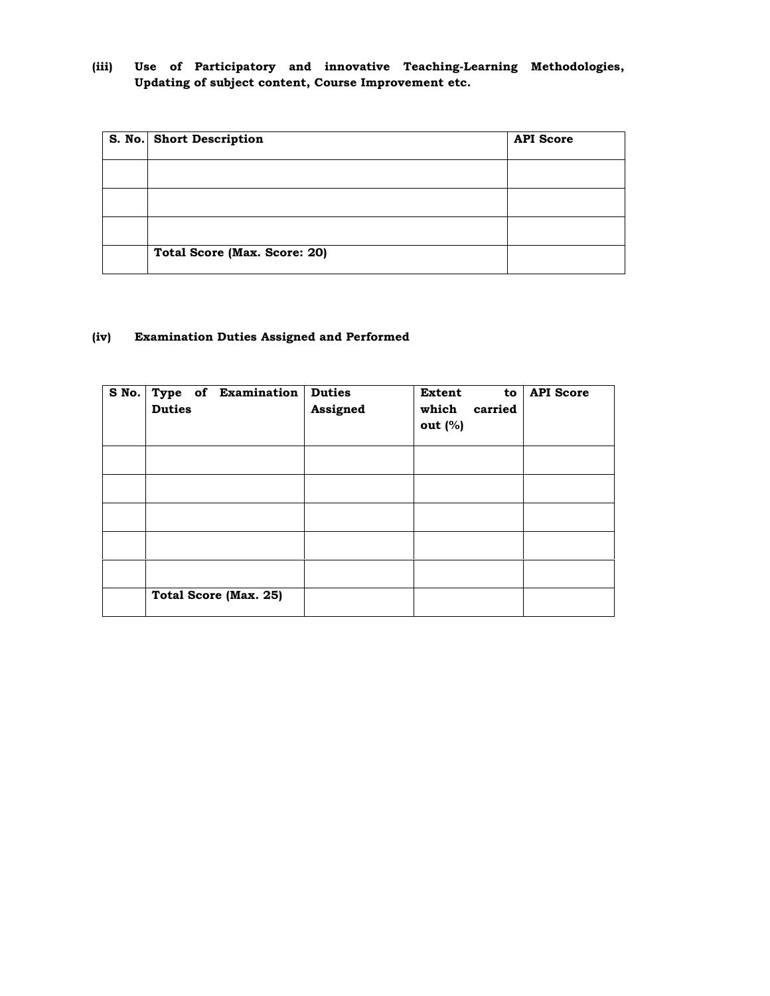(iii) Use of Participatory and innovative Teaching-Learning Methodologies, Updating of subject content, Course Improvement etc.

| S. No. Short Description            | <b>API Score</b> |
|-------------------------------------|------------------|
|                                     |                  |
|                                     |                  |
|                                     |                  |
| <b>Total Score (Max. Score: 20)</b> |                  |

#### (iv) Examination Duties Assigned and Performed

| S No. Type of Examination<br><b>Duties</b> | <b>Duties</b><br>Assigned | <b>Extent</b><br>to<br>which<br>carried<br>out (%) | <b>API Score</b> |
|--------------------------------------------|---------------------------|----------------------------------------------------|------------------|
|                                            |                           |                                                    |                  |
|                                            |                           |                                                    |                  |
|                                            |                           |                                                    |                  |
|                                            |                           |                                                    |                  |
|                                            |                           |                                                    |                  |
| <b>Total Score (Max. 25)</b>               |                           |                                                    |                  |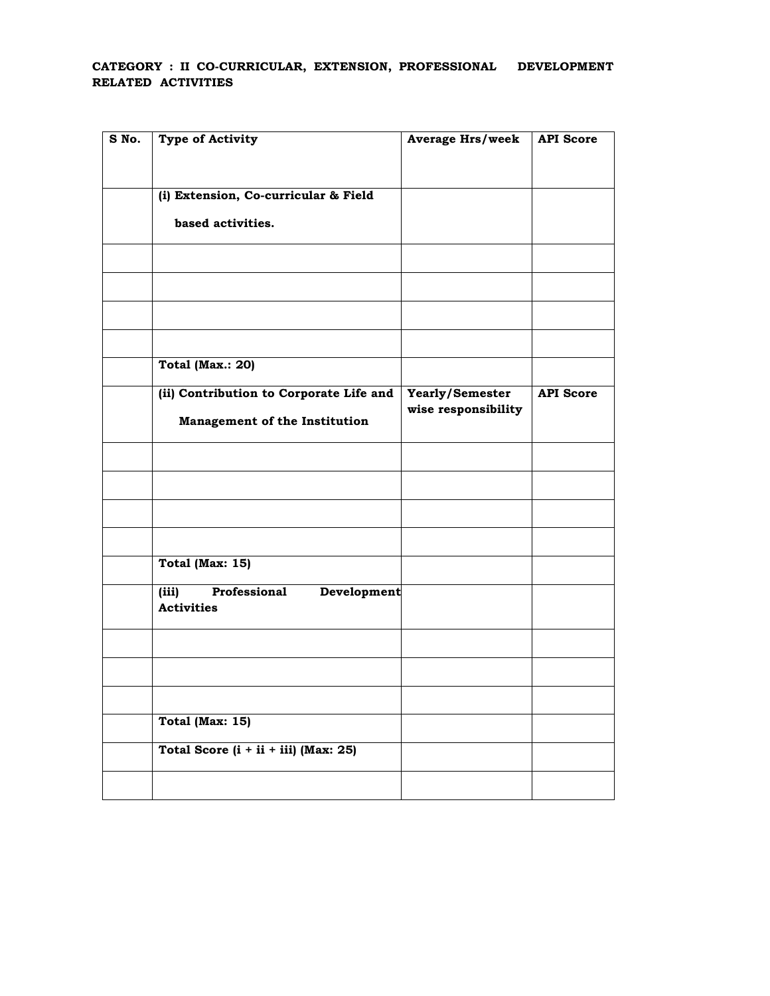### CATEGORY : II CO-CURRICULAR, EXTENSION, PROFESSIONAL DEVELOPMENT RELATED ACTIVITIES

| S No. | <b>Type of Activity</b>                                   | <b>Average Hrs/week</b> | <b>API Score</b> |
|-------|-----------------------------------------------------------|-------------------------|------------------|
|       |                                                           |                         |                  |
|       |                                                           |                         |                  |
|       | (i) Extension, Co-curricular & Field                      |                         |                  |
|       | based activities.                                         |                         |                  |
|       |                                                           |                         |                  |
|       |                                                           |                         |                  |
|       |                                                           |                         |                  |
|       |                                                           |                         |                  |
|       |                                                           |                         |                  |
|       | <b>Total (Max.: 20)</b>                                   |                         |                  |
|       | (ii) Contribution to Corporate Life and                   | Yearly/Semester         | <b>API Score</b> |
|       | Management of the Institution                             | wise responsibility     |                  |
|       |                                                           |                         |                  |
|       |                                                           |                         |                  |
|       |                                                           |                         |                  |
|       |                                                           |                         |                  |
|       | Total (Max: 15)                                           |                         |                  |
|       | Professional<br>Development<br>(iii)<br><b>Activities</b> |                         |                  |
|       |                                                           |                         |                  |
|       |                                                           |                         |                  |
|       |                                                           |                         |                  |
|       | Total (Max: 15)                                           |                         |                  |
|       | Total Score $(i + ii + iii)$ (Max: 25)                    |                         |                  |
|       |                                                           |                         |                  |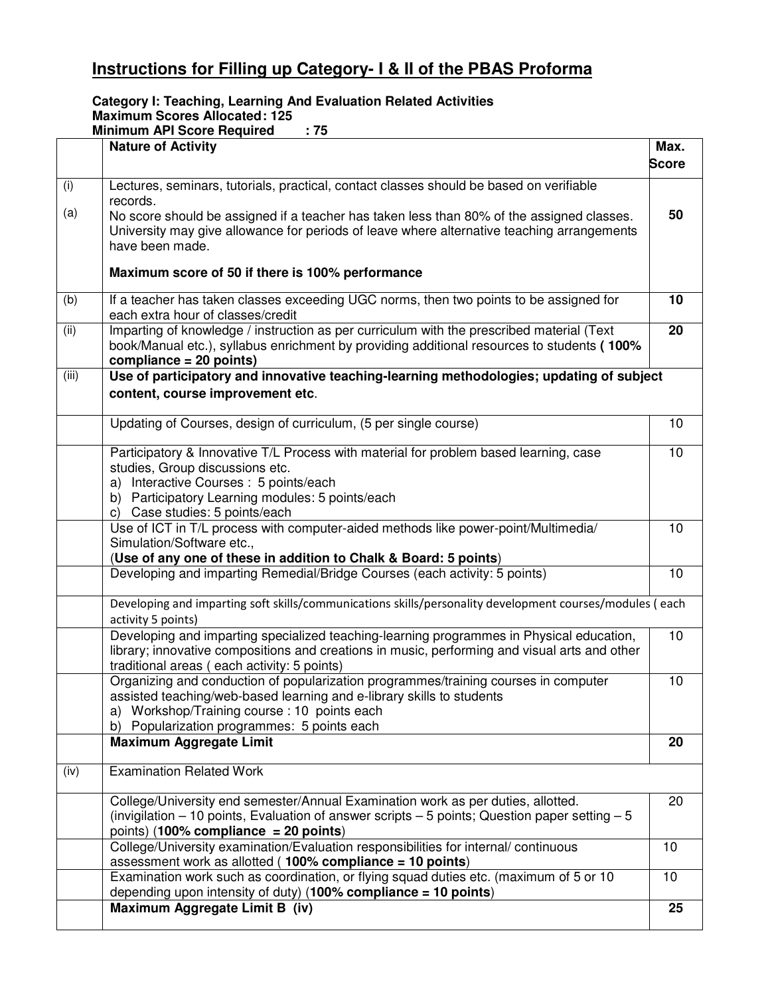# **Instructions for Filling up Category- I & II of the PBAS Proforma**

#### **Category I: Teaching, Learning And Evaluation Related Activities Maximum Scores Allocated : 125**

#### **Minimum API Score Required : 75**

|            | <b>Nature of Activity</b>                                                                                                                                                                                                                                      | Max.<br><b>Score</b> |
|------------|----------------------------------------------------------------------------------------------------------------------------------------------------------------------------------------------------------------------------------------------------------------|----------------------|
| (i)<br>(a) | Lectures, seminars, tutorials, practical, contact classes should be based on verifiable<br>records.                                                                                                                                                            |                      |
|            | No score should be assigned if a teacher has taken less than 80% of the assigned classes.<br>University may give allowance for periods of leave where alternative teaching arrangements<br>have been made.                                                     | 50                   |
|            | Maximum score of 50 if there is 100% performance                                                                                                                                                                                                               |                      |
| (b)        | If a teacher has taken classes exceeding UGC norms, then two points to be assigned for<br>each extra hour of classes/credit                                                                                                                                    | 10                   |
| (ii)       | Imparting of knowledge / instruction as per curriculum with the prescribed material (Text<br>book/Manual etc.), syllabus enrichment by providing additional resources to students (100%<br>compliance = 20 points)                                             | 20                   |
| (iii)      | Use of participatory and innovative teaching-learning methodologies; updating of subject<br>content, course improvement etc.                                                                                                                                   |                      |
|            | Updating of Courses, design of curriculum, (5 per single course)                                                                                                                                                                                               | 10                   |
|            | Participatory & Innovative T/L Process with material for problem based learning, case<br>studies, Group discussions etc.<br>Interactive Courses: 5 points/each<br>a)<br>b) Participatory Learning modules: 5 points/each<br>c) Case studies: 5 points/each     | 10                   |
|            | Use of ICT in T/L process with computer-aided methods like power-point/Multimedia/<br>Simulation/Software etc.,<br>(Use of any one of these in addition to Chalk & Board: 5 points)                                                                            | 10                   |
|            | Developing and imparting Remedial/Bridge Courses (each activity: 5 points)                                                                                                                                                                                     | 10                   |
|            | Developing and imparting soft skills/communications skills/personality development courses/modules (each<br>activity 5 points)                                                                                                                                 |                      |
|            | Developing and imparting specialized teaching-learning programmes in Physical education,<br>library; innovative compositions and creations in music, performing and visual arts and other<br>traditional areas (each activity: 5 points)                       | 10                   |
|            | Organizing and conduction of popularization programmes/training courses in computer<br>assisted teaching/web-based learning and e-library skills to students<br>a) Workshop/Training course : 10 points each<br>Popularization programmes: 5 points each<br>b) | 10                   |
|            | <b>Maximum Aggregate Limit</b>                                                                                                                                                                                                                                 | 20                   |
| (iv)       | <b>Examination Related Work</b>                                                                                                                                                                                                                                |                      |
|            | College/University end semester/Annual Examination work as per duties, allotted.<br>(invigilation $-10$ points, Evaluation of answer scripts $-5$ points; Question paper setting $-5$<br>points) (100% compliance $= 20$ points)                               | 20                   |
|            | College/University examination/Evaluation responsibilities for internal/ continuous<br>assessment work as allotted (100% compliance = 10 points)                                                                                                               | 10                   |
|            | Examination work such as coordination, or flying squad duties etc. (maximum of 5 or 10<br>depending upon intensity of duty) $(100\% \text{ compliance} = 10 \text{ points})$                                                                                   | 10                   |
|            | Maximum Aggregate Limit B (iv)                                                                                                                                                                                                                                 | 25                   |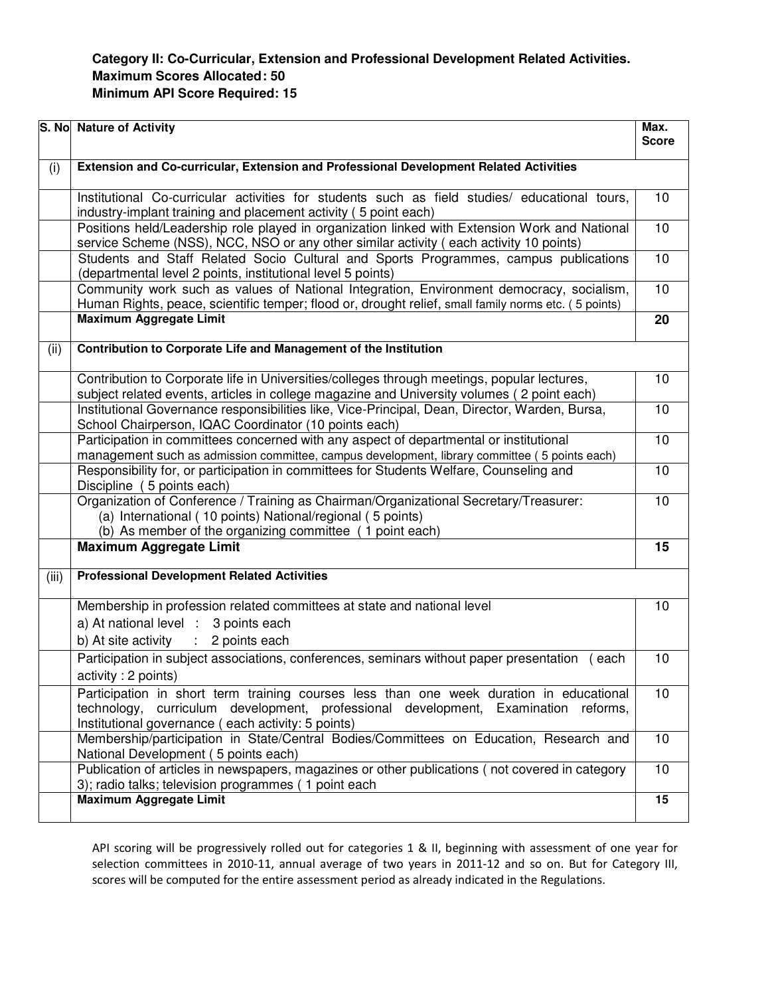## **Category II: Co-Curricular, Extension and Professional Development Related Activities. Maximum Scores Allocated : 50 Minimum API Score Required: 15**

|       | S. No Nature of Activity                                                                                                                                                                                                            | Max.<br><b>Score</b> |
|-------|-------------------------------------------------------------------------------------------------------------------------------------------------------------------------------------------------------------------------------------|----------------------|
| (i)   | Extension and Co-curricular, Extension and Professional Development Related Activities                                                                                                                                              |                      |
|       | Institutional Co-curricular activities for students such as field studies/ educational tours,<br>industry-implant training and placement activity (5 point each)                                                                    | 10                   |
|       | Positions held/Leadership role played in organization linked with Extension Work and National<br>service Scheme (NSS), NCC, NSO or any other similar activity (each activity 10 points)                                             | 10                   |
|       | Students and Staff Related Socio Cultural and Sports Programmes, campus publications<br>(departmental level 2 points, institutional level 5 points)                                                                                 | 10                   |
|       | Community work such as values of National Integration, Environment democracy, socialism,<br>Human Rights, peace, scientific temper; flood or, drought relief, small family norms etc. (5 points)                                    | 10                   |
|       | <b>Maximum Aggregate Limit</b>                                                                                                                                                                                                      | 20                   |
| (ii)  | Contribution to Corporate Life and Management of the Institution                                                                                                                                                                    |                      |
|       | Contribution to Corporate life in Universities/colleges through meetings, popular lectures,<br>subject related events, articles in college magazine and University volumes (2 point each)                                           | 10                   |
|       | Institutional Governance responsibilities like, Vice-Principal, Dean, Director, Warden, Bursa,<br>School Chairperson, IQAC Coordinator (10 points each)                                                                             | 10                   |
|       | Participation in committees concerned with any aspect of departmental or institutional<br>management such as admission committee, campus development, library committee (5 points each)                                             | 10                   |
|       | Responsibility for, or participation in committees for Students Welfare, Counseling and<br>Discipline (5 points each)                                                                                                               | 10                   |
|       | Organization of Conference / Training as Chairman/Organizational Secretary/Treasurer:<br>(a) International (10 points) National/regional (5 points)<br>(b) As member of the organizing committee (1 point each)                     | 10                   |
|       | <b>Maximum Aggregate Limit</b>                                                                                                                                                                                                      | 15                   |
| (iii) | <b>Professional Development Related Activities</b>                                                                                                                                                                                  |                      |
|       | Membership in profession related committees at state and national level<br>a) At national level : 3 points each<br>b) At site activity<br>2 points each<br>÷                                                                        | 10                   |
|       | Participation in subject associations, conferences, seminars without paper presentation (each<br>activity: 2 points)                                                                                                                | 10                   |
|       | Participation in short term training courses less than one week duration in educational<br>technology, curriculum development, professional development, Examination reforms,<br>Institutional governance (each activity: 5 points) | 10                   |
|       | Membership/participation in State/Central Bodies/Committees on Education, Research and<br>National Development (5 points each)                                                                                                      | 10                   |
|       | Publication of articles in newspapers, magazines or other publications (not covered in category<br>3); radio talks; television programmes (1 point each                                                                             | 10                   |
|       | <b>Maximum Aggregate Limit</b>                                                                                                                                                                                                      | 15                   |

API scoring will be progressively rolled out for categories 1 & II, beginning with assessment of one year for selection committees in 2010-11, annual average of two years in 2011-12 and so on. But for Category III, scores will be computed for the entire assessment period as already indicated in the Regulations.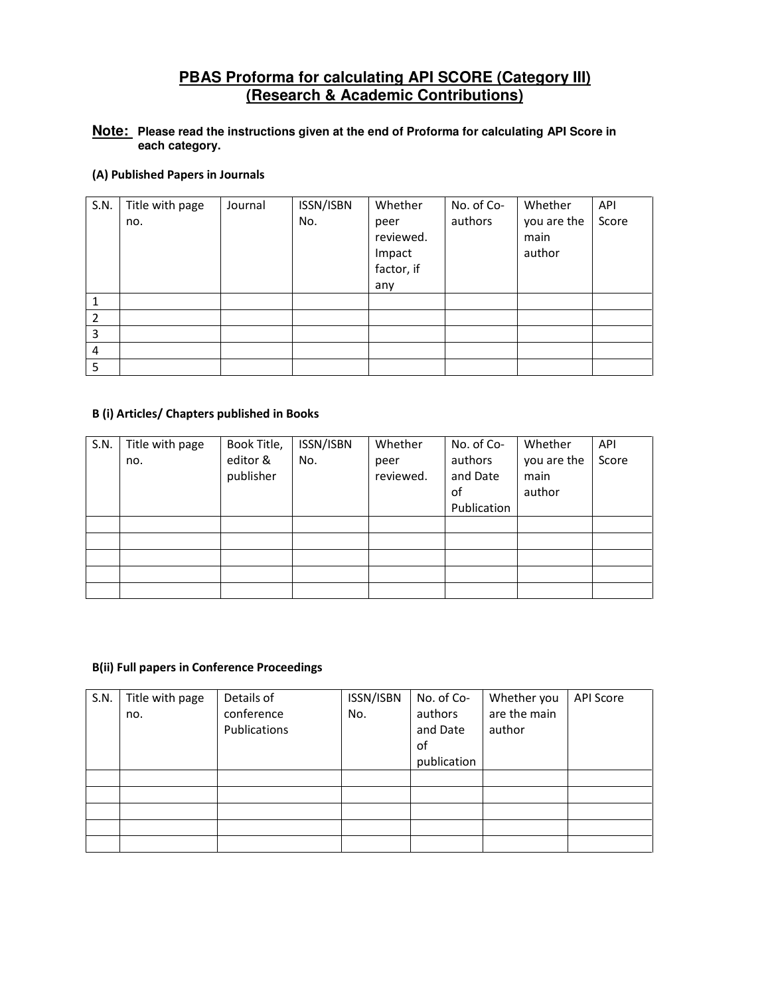## **PBAS Proforma for calculating API SCORE (Category III) (Research & Academic Contributions)**

#### **Note: Please read the instructions given at the end of Proforma for calculating API Score in each category.**

#### (A) Published Papers in Journals

| S.N. | Title with page<br>no. | Journal | ISSN/ISBN<br>No. | Whether<br>peer                   | No. of Co-<br>authors | Whether<br>you are the | API<br>Score |
|------|------------------------|---------|------------------|-----------------------------------|-----------------------|------------------------|--------------|
|      |                        |         |                  | reviewed.<br>Impact<br>factor, if |                       | main<br>author         |              |
|      |                        |         |                  | any                               |                       |                        |              |
| 1    |                        |         |                  |                                   |                       |                        |              |
| 2    |                        |         |                  |                                   |                       |                        |              |
| 3    |                        |         |                  |                                   |                       |                        |              |
| 4    |                        |         |                  |                                   |                       |                        |              |
| 5    |                        |         |                  |                                   |                       |                        |              |

#### B (i) Articles/ Chapters published in Books

| S.N. | Title with page | Book Title, | ISSN/ISBN | Whether   | No. of Co-  | Whether     | API   |
|------|-----------------|-------------|-----------|-----------|-------------|-------------|-------|
|      | no.             | editor &    | No.       | peer      | authors     | you are the | Score |
|      |                 | publisher   |           | reviewed. | and Date    | main        |       |
|      |                 |             |           |           | оf          | author      |       |
|      |                 |             |           |           | Publication |             |       |
|      |                 |             |           |           |             |             |       |
|      |                 |             |           |           |             |             |       |
|      |                 |             |           |           |             |             |       |
|      |                 |             |           |           |             |             |       |
|      |                 |             |           |           |             |             |       |

#### B(ii) Full papers in Conference Proceedings

| S.N. | Title with page | Details of   | ISSN/ISBN | No. of Co-  | Whether you  | <b>API Score</b> |
|------|-----------------|--------------|-----------|-------------|--------------|------------------|
|      | no.             | conference   | No.       | authors     | are the main |                  |
|      |                 | Publications |           | and Date    | author       |                  |
|      |                 |              |           | οf          |              |                  |
|      |                 |              |           | publication |              |                  |
|      |                 |              |           |             |              |                  |
|      |                 |              |           |             |              |                  |
|      |                 |              |           |             |              |                  |
|      |                 |              |           |             |              |                  |
|      |                 |              |           |             |              |                  |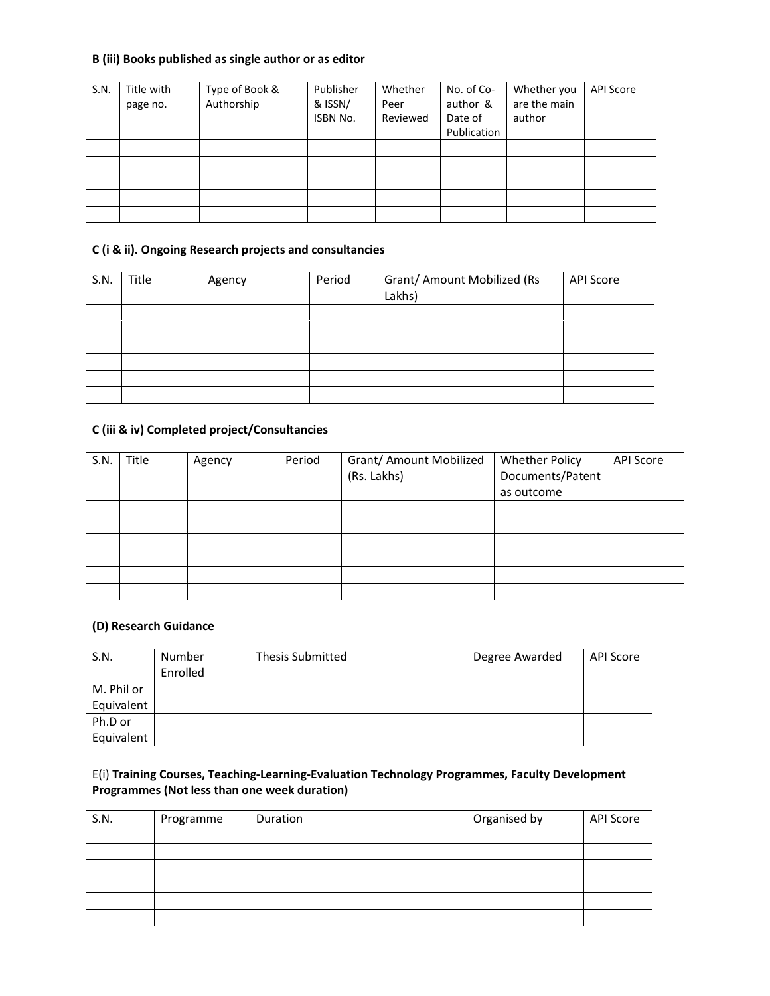### B (iii) Books published as single author or as editor

| S.N. | Title with<br>page no. | Type of Book &<br>Authorship | Publisher<br>& ISSN/<br><b>ISBN No.</b> | Whether<br>Peer<br>Reviewed | No. of Co-<br>author &<br>Date of<br>Publication | Whether you<br>are the main<br>author | <b>API Score</b> |
|------|------------------------|------------------------------|-----------------------------------------|-----------------------------|--------------------------------------------------|---------------------------------------|------------------|
|      |                        |                              |                                         |                             |                                                  |                                       |                  |
|      |                        |                              |                                         |                             |                                                  |                                       |                  |
|      |                        |                              |                                         |                             |                                                  |                                       |                  |
|      |                        |                              |                                         |                             |                                                  |                                       |                  |
|      |                        |                              |                                         |                             |                                                  |                                       |                  |

### C (i & ii). Ongoing Research projects and consultancies

| S.N. | Title | Agency | Period | Grant/ Amount Mobilized (Rs<br>Lakhs) | <b>API Score</b> |
|------|-------|--------|--------|---------------------------------------|------------------|
|      |       |        |        |                                       |                  |
|      |       |        |        |                                       |                  |
|      |       |        |        |                                       |                  |
|      |       |        |        |                                       |                  |
|      |       |        |        |                                       |                  |
|      |       |        |        |                                       |                  |

### C (iii & iv) Completed project/Consultancies

| S.N. | Title | Agency | Period | Grant/ Amount Mobilized<br>(Rs. Lakhs) | <b>Whether Policy</b><br>Documents/Patent<br>as outcome | <b>API Score</b> |
|------|-------|--------|--------|----------------------------------------|---------------------------------------------------------|------------------|
|      |       |        |        |                                        |                                                         |                  |
|      |       |        |        |                                        |                                                         |                  |
|      |       |        |        |                                        |                                                         |                  |
|      |       |        |        |                                        |                                                         |                  |
|      |       |        |        |                                        |                                                         |                  |
|      |       |        |        |                                        |                                                         |                  |

#### (D) Research Guidance

| S.N.       | Number   | <b>Thesis Submitted</b> | Degree Awarded | API Score |
|------------|----------|-------------------------|----------------|-----------|
|            | Enrolled |                         |                |           |
| M. Phil or |          |                         |                |           |
| Equivalent |          |                         |                |           |
| Ph.D or    |          |                         |                |           |
| Equivalent |          |                         |                |           |

### E(i) Training Courses, Teaching-Learning-Evaluation Technology Programmes, Faculty Development Programmes (Not less than one week duration)

| S.N. | Programme | Duration | Organised by | API Score |
|------|-----------|----------|--------------|-----------|
|      |           |          |              |           |
|      |           |          |              |           |
|      |           |          |              |           |
|      |           |          |              |           |
|      |           |          |              |           |
|      |           |          |              |           |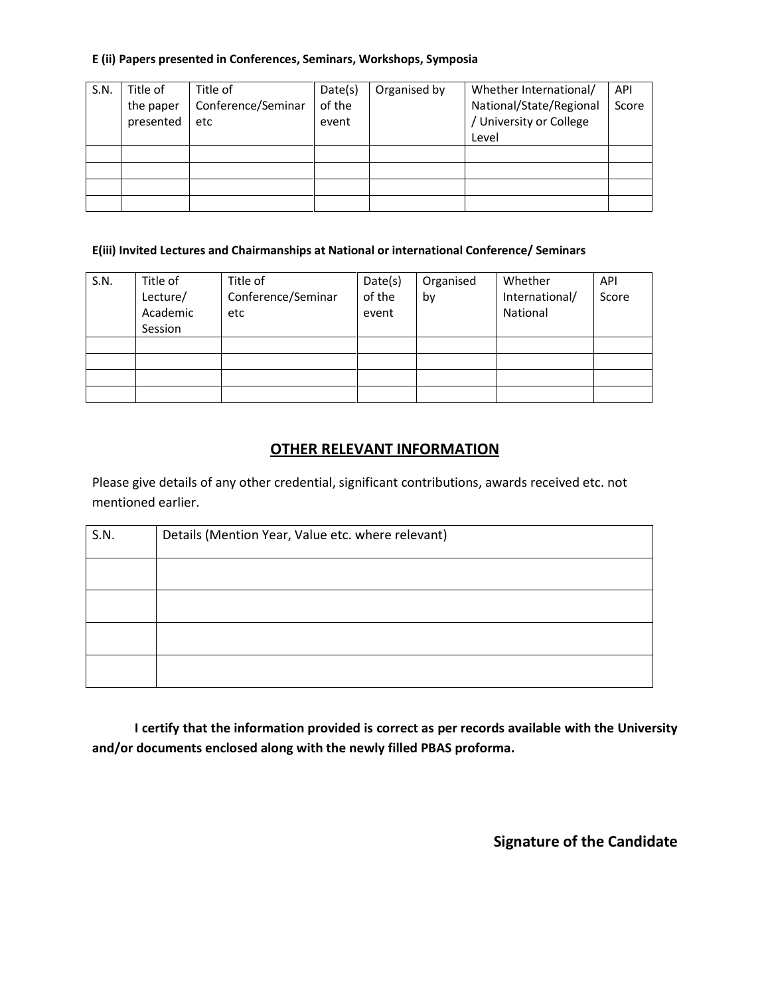### E (ii) Papers presented in Conferences, Seminars, Workshops, Symposia

| S.N. | Title of  | Title of           | Date(s) | Organised by | Whether International/  | API   |
|------|-----------|--------------------|---------|--------------|-------------------------|-------|
|      | the paper | Conference/Seminar | of the  |              | National/State/Regional | Score |
|      | presented | etc                | event   |              | / University or College |       |
|      |           |                    |         |              | Level                   |       |
|      |           |                    |         |              |                         |       |
|      |           |                    |         |              |                         |       |
|      |           |                    |         |              |                         |       |
|      |           |                    |         |              |                         |       |

#### E(iii) Invited Lectures and Chairmanships at National or international Conference/ Seminars

| S.N. | Title of | Title of           | Date(s) | Organised | Whether        | API   |
|------|----------|--------------------|---------|-----------|----------------|-------|
|      | Lecture/ | Conference/Seminar | of the  | by        | International/ | Score |
|      | Academic | etc                | event   |           | National       |       |
|      | Session  |                    |         |           |                |       |
|      |          |                    |         |           |                |       |
|      |          |                    |         |           |                |       |
|      |          |                    |         |           |                |       |
|      |          |                    |         |           |                |       |

## OTHER RELEVANT INFORMATION

Please give details of any other credential, significant contributions, awards received etc. not mentioned earlier.

| S.N. | Details (Mention Year, Value etc. where relevant) |  |  |  |
|------|---------------------------------------------------|--|--|--|
|      |                                                   |  |  |  |
|      |                                                   |  |  |  |
|      |                                                   |  |  |  |
|      |                                                   |  |  |  |

I certify that the information provided is correct as per records available with the University and/or documents enclosed along with the newly filled PBAS proforma.

Signature of the Candidate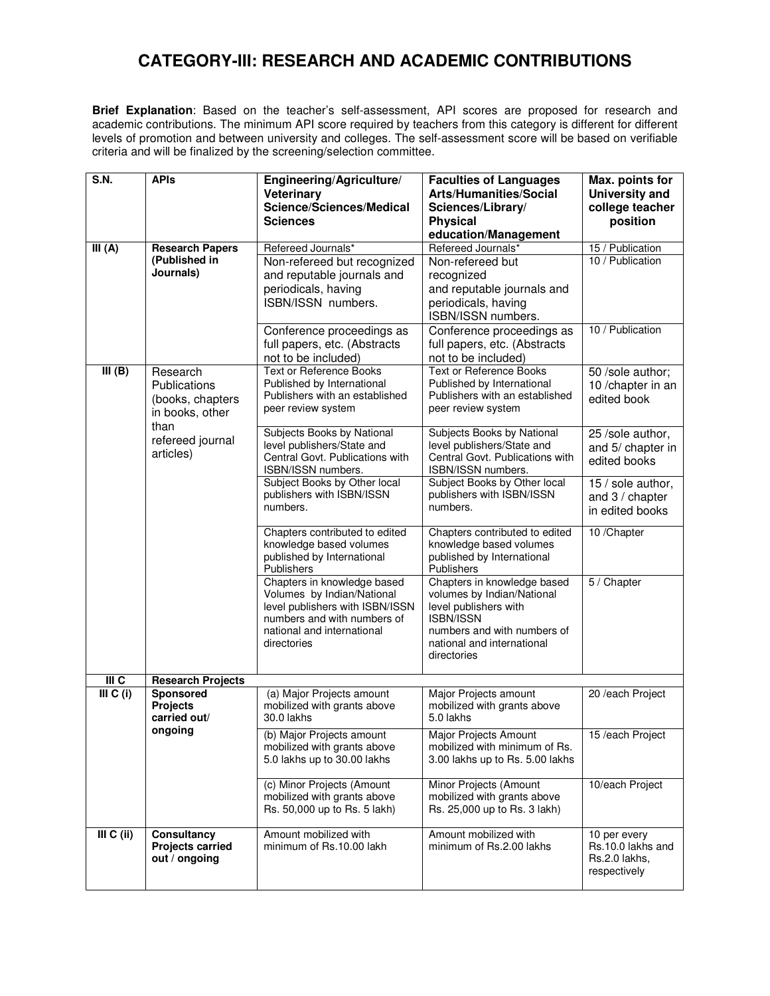# **CATEGORY-III: RESEARCH AND ACADEMIC CONTRIBUTIONS**

**Brief Explanation**: Based on the teacher's self-assessment, API scores are proposed for research and academic contributions. The minimum API score required by teachers from this category is different for different levels of promotion and between university and colleges. The self-assessment score will be based on verifiable criteria and will be finalized by the screening/selection committee.

| <b>S.N.</b>        | <b>APIs</b>                         | Engineering/Agriculture/<br>Veterinary<br>Science/Sciences/Medical<br><b>Sciences</b> | <b>Faculties of Languages</b><br><b>Arts/Humanities/Social</b><br>Sciences/Library/<br><b>Physical</b><br>education/Management | Max. points for<br>University and<br>college teacher<br>position |
|--------------------|-------------------------------------|---------------------------------------------------------------------------------------|--------------------------------------------------------------------------------------------------------------------------------|------------------------------------------------------------------|
| III(A)             | <b>Research Papers</b>              | Refereed Journals*                                                                    | Refereed Journals*                                                                                                             | 15 / Publication                                                 |
|                    | (Published in                       | Non-refereed but recognized                                                           | Non-refereed but                                                                                                               | 10 / Publication                                                 |
|                    | Journals)                           | and reputable journals and                                                            | recognized                                                                                                                     |                                                                  |
|                    |                                     | periodicals, having                                                                   | and reputable journals and                                                                                                     |                                                                  |
|                    |                                     | ISBN/ISSN numbers.                                                                    | periodicals, having<br>ISBN/ISSN numbers.                                                                                      |                                                                  |
|                    |                                     | Conference proceedings as                                                             | Conference proceedings as                                                                                                      | 10 / Publication                                                 |
|                    |                                     | full papers, etc. (Abstracts<br>not to be included)                                   | full papers, etc. (Abstracts<br>not to be included)                                                                            |                                                                  |
| III(B)             | Research                            | <b>Text or Reference Books</b>                                                        | <b>Text or Reference Books</b>                                                                                                 | 50 /sole author;                                                 |
|                    | Publications                        | Published by International<br>Publishers with an established                          | Published by International<br>Publishers with an established                                                                   | 10 / chapter in an                                               |
|                    | (books, chapters<br>in books, other | peer review system                                                                    | peer review system                                                                                                             | edited book                                                      |
|                    | than                                | Subjects Books by National                                                            | Subjects Books by National                                                                                                     | 25 /sole author,                                                 |
|                    | refereed journal<br>articles)       | level publishers/State and                                                            | level publishers/State and                                                                                                     | and 5/ chapter in                                                |
|                    |                                     | Central Govt. Publications with<br>ISBN/ISSN numbers.                                 | Central Govt. Publications with<br>ISBN/ISSN numbers.                                                                          | edited books                                                     |
|                    |                                     | Subject Books by Other local<br>publishers with ISBN/ISSN                             | Subject Books by Other local<br>publishers with ISBN/ISSN                                                                      | 15 / sole author,                                                |
|                    |                                     | numbers.                                                                              | numbers.                                                                                                                       | and 3 / chapter                                                  |
|                    |                                     |                                                                                       |                                                                                                                                | in edited books                                                  |
|                    |                                     | Chapters contributed to edited                                                        | Chapters contributed to edited                                                                                                 | 10 / Chapter                                                     |
|                    |                                     | knowledge based volumes                                                               | knowledge based volumes                                                                                                        |                                                                  |
|                    |                                     | published by International                                                            | published by International<br>Publishers                                                                                       |                                                                  |
|                    |                                     | Publishers<br>Chapters in knowledge based                                             | Chapters in knowledge based                                                                                                    | 5 / Chapter                                                      |
|                    |                                     | Volumes by Indian/National                                                            | volumes by Indian/National                                                                                                     |                                                                  |
|                    |                                     | level publishers with ISBN/ISSN                                                       | level publishers with                                                                                                          |                                                                  |
|                    |                                     | numbers and with numbers of                                                           | <b>ISBN/ISSN</b>                                                                                                               |                                                                  |
|                    |                                     | national and international                                                            | numbers and with numbers of                                                                                                    |                                                                  |
|                    |                                     | directories                                                                           | national and international                                                                                                     |                                                                  |
|                    |                                     |                                                                                       | directories                                                                                                                    |                                                                  |
| $\overline{III}$ C | <b>Research Projects</b>            |                                                                                       |                                                                                                                                |                                                                  |
| III C (i)          | Sponsored<br><b>Projects</b>        | (a) Major Projects amount<br>mobilized with grants above                              | Major Projects amount<br>mobilized with grants above                                                                           | 20 / each Project                                                |
|                    | carried out/<br>ongoing             | 30.0 lakhs                                                                            | 5.0 lakhs                                                                                                                      |                                                                  |
|                    |                                     | (b) Major Projects amount                                                             | <b>Maior Projects Amount</b>                                                                                                   | 15 /each Project                                                 |
|                    |                                     | mobilized with grants above<br>5.0 lakhs up to 30.00 lakhs                            | mobilized with minimum of Rs.<br>3.00 lakhs up to Rs. 5.00 lakhs                                                               |                                                                  |
|                    |                                     |                                                                                       |                                                                                                                                |                                                                  |
|                    |                                     | (c) Minor Projects (Amount                                                            | Minor Projects (Amount                                                                                                         | 10/each Project                                                  |
|                    |                                     | mobilized with grants above                                                           | mobilized with grants above                                                                                                    |                                                                  |
|                    |                                     | Rs. 50,000 up to Rs. 5 lakh)                                                          | Rs. 25,000 up to Rs. 3 lakh)                                                                                                   |                                                                  |
| III C (ii)         | <b>Consultancy</b>                  | Amount mobilized with                                                                 | Amount mobilized with                                                                                                          | 10 per every                                                     |
|                    | <b>Projects carried</b>             | minimum of Rs.10.00 lakh                                                              | minimum of Rs.2.00 lakhs                                                                                                       | Rs.10.0 lakhs and                                                |
|                    | out / ongoing                       |                                                                                       |                                                                                                                                | Rs.2.0 lakhs,                                                    |
|                    |                                     |                                                                                       |                                                                                                                                | respectively                                                     |